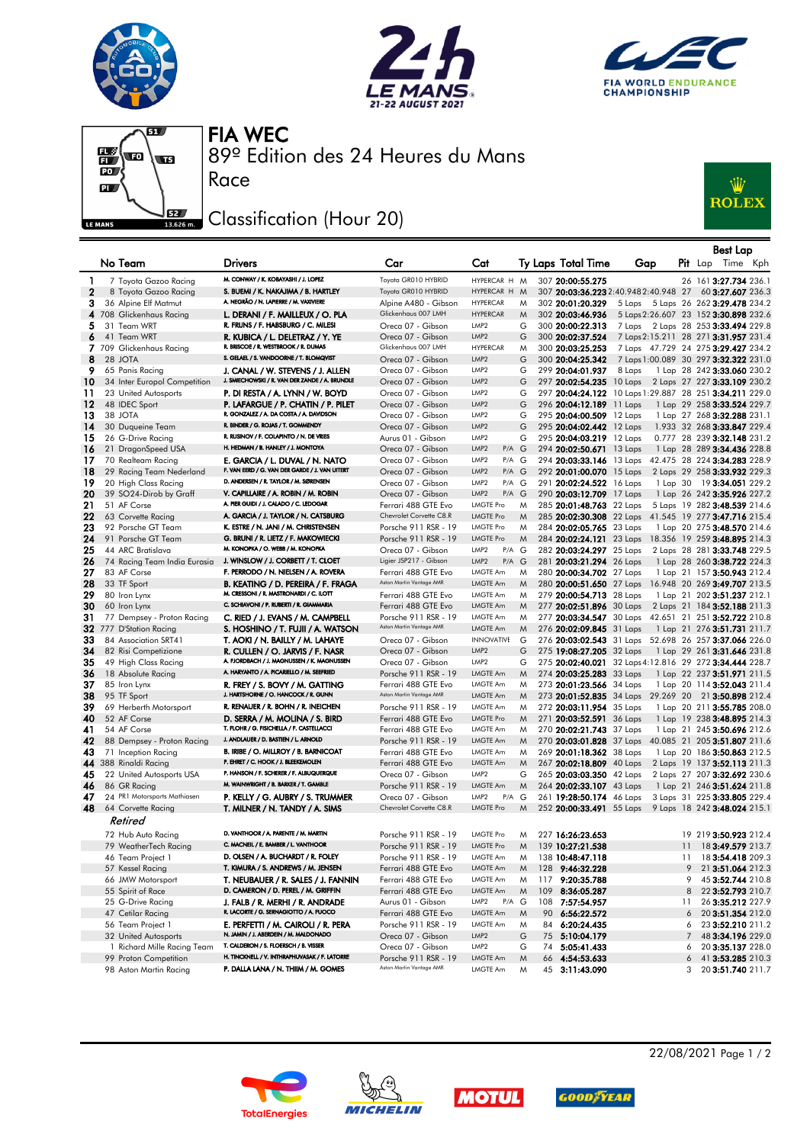







89º Edition des 24 Heures du Mans FIA WEC

## Classification (Hour 20)

Race



|              |                                                     |                                                                               |                                                  |                                      |           |     |                                                      |                                                         |     | Best Lap                                                   |  |
|--------------|-----------------------------------------------------|-------------------------------------------------------------------------------|--------------------------------------------------|--------------------------------------|-----------|-----|------------------------------------------------------|---------------------------------------------------------|-----|------------------------------------------------------------|--|
|              | No Team                                             | <b>Drivers</b>                                                                | Car                                              | Cat                                  |           |     | Ty Laps Total Time                                   | Gap                                                     |     | <b>Pit</b> Lap Time Kph                                    |  |
| $\mathbf{1}$ | 7 Toyota Gazoo Racing                               | M. CONWAY / K. KOBAYASHI / J. LOPEZ                                           | Toyota GR010 HYBRID                              | HYPERCAR H M                         |           |     | 307 20:00:55.275                                     |                                                         |     | 26 161 3:27.734 236.1                                      |  |
| $\mathbf{2}$ | 8 Toyota Gazoo Racing                               | S. BUEMI / K. NAKAJIMA / B. HARTLEY                                           | Toyota GR010 HYBRID                              | HYPERCAR H M                         |           |     |                                                      | 307 20:03:36.223 2:40.948 2:40.948 27                   |     | 60 3:27.607 236.3                                          |  |
| 3            | 36 Alpine Elf Matmut                                | A. NEGRÃO / N. LAPIERRE / M. VAXIVIERE                                        | Alpine A480 - Gibson                             | <b>HYPERCAR</b>                      | M         |     | 302 20:01:20.329                                     | 5 Laps 5 Laps 26 262 3:29.478 234.2                     |     |                                                            |  |
|              | 4 708 Glickenhaus Racing                            | L. DERANI / F. MAILLEUX / O. PLA                                              | Glickenhaus 007 LMH                              | <b>HYPERCAR</b>                      | M         |     | 302 20:03:46.936                                     | 5 Laps 2:26.607 23 152 3:30.898 232.6                   |     |                                                            |  |
| 5            | 31 Team WRT                                         | R. FRIJNS / F. HABSBURG / C. MILESI                                           | Oreca 07 - Gibson                                | LMP <sub>2</sub>                     | G         |     | 300 20:00:22.313                                     | 7 Laps                                                  |     | 2 Laps 28 253 3:33.494 229.8                               |  |
| 6            | 41 Team WRT                                         | R. KUBICA / L. DELETRAZ / Y. YE                                               | Oreca 07 - Gibson                                | LMP <sub>2</sub>                     | G         |     | 300 20:02:37.524                                     | 7 Laps 2:15.211 28 271 3:31.957 231.4                   |     |                                                            |  |
|              | 7 709 Glickenhaus Racing                            | R. BRISCOE / R. WESTBROOK / R. DUMAS                                          | Glickenhaus 007 LMH                              | <b>HYPERCAR</b>                      | M         |     | 300 20:03:25.253                                     | 7 Laps 47.729 24 275 3:29.427 234.2                     |     |                                                            |  |
| 8            | 28 JOTA                                             | S. GELAEL / S. VANDOORNE / T. BLOMQVIST                                       | Oreca 07 - Gibson                                | LMP <sub>2</sub>                     | G         |     | 300 20:04:25.342                                     | 7 Laps 1:00.089 30 297 3:32.322 231.0                   |     |                                                            |  |
| 9            | 65 Panis Racing                                     | J. CANAL / W. STEVENS / J. ALLEN                                              | Oreca 07 - Gibson                                | LMP <sub>2</sub>                     | G         |     | 299 20:04:01.937                                     | 8 Laps                                                  |     | 1 Lap 28 242 3:33.060 230.2                                |  |
| 10           | 34 Inter Europol Competition                        | J. SMIECHOWSKI / R. VAN DER ZANDE / A. BRUNDLE                                | Oreca 07 - Gibson                                | LMP <sub>2</sub>                     | G         |     | 297 20:02:54.235 10 Laps                             |                                                         |     | 2 Laps 27 227 3:33.109 230.2                               |  |
| 11           | 23 United Autosports                                | P. DI RESTA / A. LYNN / W. BOYD                                               | Oreca 07 - Gibson                                | LMP <sub>2</sub>                     | G         |     |                                                      | 297 20:04:24.122 10 Laps 1:29.887 28 251 3:34.211 229.0 |     |                                                            |  |
| 12           | 48 IDEC Sport                                       | P. LAFARGUE / P. CHATIN / P. PILET<br>R. GONZALEZ / A. DA COSTA / A. DAVIDSON | Oreca 07 - Gibson                                | LMP <sub>2</sub>                     | G         |     | 296 20:04:12.189 11 Laps                             |                                                         |     | 1 Lap 29 258 3:33.524 229.7                                |  |
| 13<br>14     | 38 JOTA                                             | R. BINDER / G. ROJAS / T. GOMMENDY                                            | Oreca 07 - Gibson                                | LMP <sub>2</sub><br>LMP <sub>2</sub> | G<br>G    |     | 295 20:04:00.509 12 Laps<br>295 20:04:02.442 12 Laps |                                                         |     | 1 Lap 27 268 3:32.288 231.1<br>1.933 32 268 3:33.847 229.4 |  |
| 15           | 30 Duqueine Team<br>26 G-Drive Racing               | R. RUSINOV / F. COLAPINTO / N. DE VRIES                                       | Oreca 07 - Gibson<br>Aurus 01 - Gibson           | LMP <sub>2</sub>                     | G         |     |                                                      |                                                         |     |                                                            |  |
| 16           | 21 DragonSpeed USA                                  | H. HEDMAN / B. HANLEY / J. MONTOYA                                            | Oreca 07 - Gibson                                | LMP <sub>2</sub>                     | $P/A$ G   |     | 295 20:04:03.219 12 Laps<br>294 20:02:50.671 13 Laps |                                                         |     | 0.777 28 239 3:32.148 231.2<br>1 Lap 28 289 3:34.436 228.8 |  |
| 17           | 70 Realteam Racing                                  | E. GARCIA / L. DUVAL / N. NATO                                                | Oreca 07 - Gibson                                | LMP <sub>2</sub>                     | P/A G     |     | 294 20:03:33.146 13 Laps                             |                                                         |     | 42.475 28 224 3:34.283 228.9                               |  |
| 18           | 29 Racing Team Nederland                            | F. VAN EERD / G. VAN DER GARDE / J. VAN UITERT                                | Oreca 07 - Gibson                                | LMP <sub>2</sub>                     | $P/A$ $G$ |     | 292 20:01:00.070 15 Laps                             |                                                         |     | 2 Laps 29 258 3:33.932 229.3                               |  |
| 19           | 20 High Class Racing                                | D. ANDERSEN / R. TAYLOR / M. SØRENSEN                                         | Oreca 07 - Gibson                                | LMP <sub>2</sub>                     | P/A G     |     | 291 20:02:24.522 16 Laps                             |                                                         |     | 1 Lap 30 19 3:34.051 229.2                                 |  |
| 20           | 39 SO24-Dirob by Graff                              | V. CAPILLAIRE / A. ROBIN / M. ROBIN                                           | Oreca 07 - Gibson                                | LMP <sub>2</sub>                     | $P/A$ $G$ |     | 290 20:03:12.709 17 Laps                             |                                                         |     | 1 Lap 26 242 3:35.926 227.2                                |  |
| 21           | 51 AF Corse                                         | A. PIER GUIDI / J. CALADO / C. LEDOGAR                                        | Ferrari 488 GTE Evo                              | LMGTE Pro                            | M         |     | 285 20:01:48.763 22 Laps                             |                                                         |     | 5 Laps 19 282 3:48.539 214.6                               |  |
| 22           | 63 Corvette Racing                                  | A. GARCIA / J. TAYLOR / N. CATSBURG                                           | Chevrolet Corvette C8.R                          | <b>LMGTE Pro</b>                     | M         |     | 285 20:02:30.308 22 Laps                             |                                                         |     | 41.545 19 277 3:47.716 215.4                               |  |
| 23           | 92 Porsche GT Team                                  | K. ESTRE / N. JANI / M. CHRISTENSEN                                           | Porsche 911 RSR - 19                             | <b>LMGTE Pro</b>                     | M         |     | 284 20:02:05.765 23 Laps                             |                                                         |     | 1 Lap 20 275 3:48.570 214.6                                |  |
| 24           | 91 Porsche GT Team                                  | G. BRUNI / R. LIETZ / F. MAKOWIECKI                                           | Porsche 911 RSR - 19                             | LMGTE Pro                            | M         |     | 284 20:02:24.121 23 Laps                             |                                                         |     | 18.356 19 259 3:48.895 214.3                               |  |
| 25           | 44 ARC Bratislava                                   | M. KONOPKA / O. WEBB / M. KONOPKA                                             | Oreca 07 - Gibson                                | LMP <sub>2</sub>                     | P/A G     |     | 282 20:03:24.297 25 Laps                             |                                                         |     | 2 Laps 28 281 3:33.748 229.5                               |  |
| 26           | 74 Racing Team India Eurasia                        | J. WINSLOW / J. CORBETT / T. CLOET                                            | Ligier JSP217 - Gibson                           | LMP <sub>2</sub>                     | $P/A$ $G$ |     | 281 20:03:21.294 26 Laps                             |                                                         |     | 1 Lap 28 260 3:38.722 224.3                                |  |
| 27           | 83 AF Corse                                         | F. PERRODO / N. NIELSEN / A. ROVERA                                           | Ferrari 488 GTE Evo                              | LMGTE Am                             | M         |     | 280 20:00:34.702 27 Laps                             |                                                         |     | 1 Lap 21 157 3:50.943 212.4                                |  |
| 28           | 33 TF Sport                                         | B. KEATING / D. PEREIRA / F. FRAGA                                            | Aston Martin Vantage AMR                         | LMGTE Am                             | M         |     | 280 20:00:51.650 27 Laps                             |                                                         |     | 16.948 20 269 3:49.707 213.5                               |  |
| 29           | 80 Iron Lynx                                        | M. CRESSONI / R. MASTRONARDI / C. ILOTT                                       | Ferrari 488 GTE Evo                              | LMGTE Am                             | M         |     | 279 20:00:54.713 28 Laps                             |                                                         |     | 1 Lap 21 202 3:51.237 212.1                                |  |
| 30           | 60 Iron Lynx                                        | C. SCHIAVONI / P. RUBERTI / R. GIAMMARIA                                      | Ferrari 488 GTE Evo                              | LMGTE Am                             | M         |     | 277 20:02:51.896 30 Laps                             |                                                         |     | 2 Laps 21 184 3:52.188 211.3                               |  |
| 31           | 77 Dempsey - Proton Racing                          | C. RIED / J. EVANS / M. CAMPBELL                                              | Porsche 911 RSR - 19<br>Aston Martin Vantage AMR | <b>LMGTE Am</b>                      | M         |     | 277 20:03:34.547 30 Laps                             |                                                         |     | 42.651 21 251 3:52.722 210.8                               |  |
|              | 32 777 D'Station Racing                             | S. HOSHINO / T. FUJII / A. WATSON                                             |                                                  | LMGTE Am<br><b>INNOVATIVE</b>        | M         |     | 276 20:02:09.845 31 Laps                             |                                                         |     | 1 Lap 21 276 3:51.731 211.7                                |  |
| 33<br>34     | 84 Association SRT41<br>82 Risi Competizione        | T. AOKI / N. BAILLY / M. LAHAYE                                               | Oreca 07 - Gibson                                | LMP <sub>2</sub>                     | G<br>G    |     | 276 20:03:02.543 31 Laps<br>275 19:08:27.205 32 Laps |                                                         |     | 52.698 26 257 3:37.066 226.0                               |  |
| 35           | 49 High Class Racing                                | R. CULLEN / O. JARVIS / F. NASR<br>A. FJORDBACH / J. MAGNUSSEN / K. MAGNUSSEN | Oreca 07 - Gibson<br>Oreca 07 - Gibson           | LMP <sub>2</sub>                     | G         |     |                                                      | 275 20:02:40.021 32 Laps 4:12.816 29 272 3:34.444 228.7 |     | 1 Lap 29 261 3:31.646 231.8                                |  |
| 36           | 18 Absolute Racing                                  | A. HARYANTO / A. PICARIELLO / M. SEEFRIED                                     | Porsche 911 RSR - 19                             | LMGTE Am                             | M         |     | 274 20:03:25.283 33 Laps                             |                                                         |     | 1 Lap 22 237 3:51.971 211.5                                |  |
| 37           | 85 Iron Lynx                                        | R. FREY / S. BOVY / M. GATTING                                                | Ferrari 488 GTE Evo                              | LMGTE Am                             | M         |     | 273 20:01:23.566 34 Laps                             |                                                         |     | 1 Lap 20 114 3:52.043 211.4                                |  |
| 38           | 95 TF Sport                                         | J. HARTSHORNE / O. HANCOCK / R. GUNN                                          | Aston Martin Vantage AMR                         | <b>LMGTE Am</b>                      | M         |     | 273 20:01:52.835 34 Laps                             |                                                         |     | 29.269 20 21 3:50.898 212.4                                |  |
| 39           | 69 Herberth Motorsport                              | R. RENAUER / R. BOHN / R. INEICHEN                                            | Porsche 911 RSR - 19                             | <b>LMGTE Am</b>                      | M         |     | 272 20:03:11.954 35 Laps                             |                                                         |     | 1 Lap 20 211 3:55.785 208.0                                |  |
| 40           | 52 AF Corse                                         | D. SERRA / M. MOLINA / S. BIRD                                                | Ferrari 488 GTE Evo                              | <b>LMGTE Pro</b>                     | M         |     | 271 20:03:52.591 36 Laps                             |                                                         |     | 1 Lap 19 238 3:48.895 214.3                                |  |
| 41           | 54 AF Corse                                         | T. FLOHR / G. FISICHELLA / F. CASTELLACCI                                     | Ferrari 488 GTE Evo                              | LMGTE Am                             | M         |     | 270 20:02:21.743 37 Laps                             |                                                         |     | 1 Lap 21 245 3:50.696 212.6                                |  |
| 42           | 88 Dempsey - Proton Racing                          | J. ANDLAUER / D. BASTIEN / L. ARNOLD                                          | Porsche 911 RSR - 19                             | LMGTE Am                             | M         |     | 270 20:03:01.828 37 Laps                             |                                                         |     | 40.085 21 205 3:51.807 211.6                               |  |
| 43           | 71 Inception Racing                                 | B. IRIBE / O. MILLROY / B. BARNICOAT                                          | Ferrari 488 GTE Evo                              | LMGTE Am                             | M         |     | 269 20:01:18.362 38 Laps                             |                                                         |     | 1 Lap 20 186 3:50.863 212.5                                |  |
|              | 44 388 Rinaldi Racing                               | P. EHRET / C. HOOK / J. BLEEKEMOLEN                                           | Ferrari 488 GTE Evo                              | LMGTE Am                             | M         |     | 267 20:02:18.809 40 Laps                             |                                                         |     | 2 Laps 19 137 3:52.113 211.3                               |  |
| 45           | 22 United Autosports USA                            | P. HANSON / F. SCHERER / F. ALBUQUERQUE                                       | Oreca 07 - Gibson                                | LMP <sub>2</sub>                     | G         |     | 265 20:03:03.350 42 Laps                             |                                                         |     | 2 Laps 27 207 3:32.692 230.6                               |  |
| 46           | 86 GR Racing                                        | M. WAINWRIGHT / B. BARKER / T. GAMBLE                                         | Porsche 911 RSR - 19                             | LMGTE Am                             | M         |     | 264 20:02:33.107 43 Laps                             |                                                         |     | 1 Lap 21 246 3:51.624 211.8                                |  |
| 47           | 24 PR1 Motorsports Mathiasen                        | P. KELLY / G. AUBRY / S. TRUMMER                                              | Oreca 07 - Gibson                                | LMP <sub>2</sub>                     | P/A G     |     | 261 19:28:50.174 46 Laps                             |                                                         |     | 3 Laps 31 225 3:33.805 229.4                               |  |
| 48           | 64 Corvette Racing                                  | T. MILNER / N. TANDY / A. SIMS                                                | Chevrolet Corvette C8.R                          | <b>LMGTE Pro</b>                     | M         |     | 252 20:00:33.491 55 Laps                             |                                                         |     | 9 Laps 18 242 3:48.024 215.1                               |  |
|              | Retired                                             |                                                                               |                                                  |                                      |           |     |                                                      |                                                         |     |                                                            |  |
|              | 72 Hub Auto Racing                                  | D. VANTHOOR / A. PARENTE / M. MARTIN                                          | Porsche 911 RSR - 19                             | LMGTE Pro                            | M         |     | 227 16:26:23.653                                     |                                                         |     | 19 219 3:50.923 212.4                                      |  |
|              | 79 WeatherTech Racing                               | C. MACNEIL / E. BAMBER / L. VANTHOOR                                          | Porsche 911 RSR - 19                             | <b>LMGTE Pro</b>                     | M         |     | 139 10:27:21.538                                     |                                                         |     | 11 18 3:49.579 213.7                                       |  |
|              | 46 Team Project 1                                   | D. OLSEN / A. BUCHARDT / R. FOLEY                                             | Porsche 911 RSR - 19                             | LMGTE Am                             | M         |     | 138 10:48:47.118                                     |                                                         | 11. | 18 3:54.418 209.3                                          |  |
|              | 57 Kessel Racing                                    | T. KIMURA / S. ANDREWS / M. JENSEN                                            | Ferrari 488 GTE Evo                              | LMGTE Am                             | M         |     | 128 9:46:32.228                                      |                                                         | 9   | 21 3:51.064 212.3                                          |  |
|              | 66 JMW Motorsport                                   | T. NEUBAUER / R. SALES / J. FANNIN                                            | Ferrari 488 GTE Evo                              | LMGTE Am                             | M         | 117 | 9:20:35.788                                          |                                                         | 9   | 45 3:52.744 210.8                                          |  |
|              | 55 Spirit of Race                                   | D. CAMERON / D. PEREL / M. GRIFFIN                                            | Ferrari 488 GTE Evo                              | LMGTE Am                             | M         | 109 | 8:36:05.287                                          |                                                         | 8   | 22 3:52.793 210.7                                          |  |
|              | 25 G-Drive Racing                                   | J. FALB / R. MERHI / R. ANDRADE<br>R. LACORTE / G. SERNAGIOTTO / A. FUOCO     | Aurus 01 - Gibson                                | LMP2                                 | $P/A$ $G$ | 108 | 7:57:54.957                                          |                                                         | 11  | 26 3:35.212 227.9                                          |  |
|              | 47 Cetilar Racing                                   |                                                                               | Ferrari 488 GTE Evo                              | LMGTE Am                             | M         |     | 90 6:56:22.572                                       |                                                         | 6   | 20 3:51.354 212.0                                          |  |
|              | 56 Team Project 1                                   | E. PERFETTI / M. CAIROLI / R. PERA<br>N. JAMIN / J. ABERDEIN / M. MALDONADO   | Porsche 911 RSR - 19                             | LMGTE Am<br>LMP <sub>2</sub>         | M         |     | 84 6:20:24.435                                       |                                                         | 6   | 23 3:52.210 211.2                                          |  |
|              | 32 United Autosports<br>1 Richard Mille Racing Team | T. CALDERON / S. FLOERSCH / B. VISSER                                         | Oreca 07 - Gibson<br>Oreca 07 - Gibson           | LMP <sub>2</sub>                     | G<br>G    |     | 75 5:10:04.179<br>74 5:05:41.433                     |                                                         | 6   | 48 3:34.196 229.0<br>20 3:35.137 228.0                     |  |
|              | 99 Proton Competition                               | H. TINCKNELL / V. INTHRAPHUVASAK / F. LATORRE                                 | Porsche 911 RSR - 19                             | LMGTE Am                             | M         |     | 66 4:54:53.633                                       |                                                         | 6   | 41 3:53.285 210.3                                          |  |
|              | 98 Aston Martin Racing                              | P. DALLA LANA / N. THIIM / M. GOMES                                           | Aston Martin Vantage AMR                         | LMGTE Am                             | M         |     | 45 3:11:43.090                                       |                                                         |     | 3 20 3:51.740 211.7                                        |  |
|              |                                                     |                                                                               |                                                  |                                      |           |     |                                                      |                                                         |     |                                                            |  |









22/08/2021 Page 1 / 2